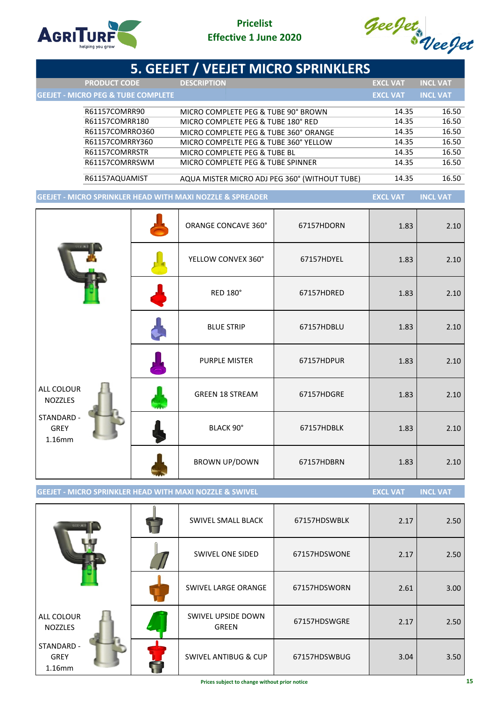

# **Pricelist Effective 1 June 2020**



|                                                                      | 5. GEEJET / VEEJET MICRO SPRINKLERS           |            |                 |                 |
|----------------------------------------------------------------------|-----------------------------------------------|------------|-----------------|-----------------|
| <b>PRODUCT CODE</b>                                                  | <b>DESCRIPTION</b>                            |            | <b>EXCL VAT</b> | <b>INCL VAT</b> |
| <b>GEEJET - MICRO PEG &amp; TUBE COMPLETE</b>                        |                                               |            | <b>EXCL VAT</b> | <b>INCL VAT</b> |
| R61157COMRR90                                                        | MICRO COMPLETE PEG & TUBE 90° BROWN           |            | 14.35           | 16.50           |
| R61157COMRR180                                                       | MICRO COMPLETE PEG & TUBE 180° RED            |            | 14.35           | 16.50           |
| R61157COMRRO360                                                      | MICRO COMPLETE PEG & TUBE 360° ORANGE         |            | 14.35           | 16.50           |
| R61157COMRRY360                                                      | MICRO COMPELTE PEG & TUBE 360° YELLOW         |            | 14.35           | 16.50           |
| R61157COMRRSTR                                                       | MICRO COMPLETE PEG & TUBE BL                  |            | 14.35           | 16.50           |
| R61157COMRRSWM                                                       | MICRO COMPLETE PEG & TUBE SPINNER             |            | 14.35           | 16.50           |
| R61157AQUAMIST                                                       | AQUA MISTER MICRO ADJ PEG 360° (WITHOUT TUBE) |            | 14.35           | 16.50           |
| <b>GEEJET - MICRO SPRINKLER HEAD WITH MAXI NOZZLE &amp; SPREADER</b> |                                               |            | <b>EXCL VAT</b> | <b>INCL VAT</b> |
|                                                                      |                                               |            |                 |                 |
|                                                                      | ORANGE CONCAVE 360°                           | 67157HDORN | 1.83            | 2.10            |
|                                                                      |                                               |            |                 |                 |
|                                                                      |                                               |            |                 |                 |
|                                                                      | YELLOW CONVEX 360°                            | 67157HDYEL | 1.83            | 2.10            |
|                                                                      |                                               |            |                 |                 |
|                                                                      | <b>RED 180°</b>                               | 67157HDRED | 1.83            | 2.10            |
|                                                                      |                                               |            |                 |                 |
|                                                                      |                                               |            |                 |                 |
|                                                                      | <b>BLUE STRIP</b>                             | 67157HDBLU | 1.83            | 2.10            |
|                                                                      |                                               |            |                 |                 |
|                                                                      | <b>PURPLE MISTER</b>                          | 67157HDPUR | 1.83            | 2.10            |
|                                                                      |                                               |            |                 |                 |
| ALL COLOUR                                                           | <b>GREEN 18 STREAM</b>                        | 67157HDGRE |                 | 2.10            |
| <b>NOZZLES</b>                                                       |                                               |            | 1.83            |                 |
| STANDARD -                                                           |                                               |            |                 |                 |
| <b>GREY</b>                                                          | BLACK 90°                                     | 67157HDBLK | 1.83            | 2.10            |
| 1.16mm                                                               |                                               |            |                 |                 |
|                                                                      | <b>BROWN UP/DOWN</b>                          | 67157HDBRN |                 | 2.10            |
|                                                                      |                                               |            | 1.83            |                 |
|                                                                      |                                               |            |                 |                 |

**GEEJET - MICRO SPRINKLER HEAD WITH MAXI NOZZLE & SWIVEL <b>EXEL WATER SEXEL VATION CONTINGLY AT** 

| GUL-ALT                                | SWIVEL SMALL BLACK                 | 67157HDSWBLK | 2.17 | 2.50 |
|----------------------------------------|------------------------------------|--------------|------|------|
|                                        | <b>SWIVEL ONE SIDED</b>            | 67157HDSWONE | 2.17 | 2.50 |
|                                        | SWIVEL LARGE ORANGE                | 67157HDSWORN | 2.61 | 3.00 |
| <b>ALL COLOUR</b><br><b>NOZZLES</b>    | SWIVEL UPSIDE DOWN<br><b>GREEN</b> | 67157HDSWGRE | 2.17 | 2.50 |
| STANDARD -<br><b>GREY</b><br>$1.16$ mm | <b>SWIVEL ANTIBUG &amp; CUP</b>    | 67157HDSWBUG | 3.04 | 3.50 |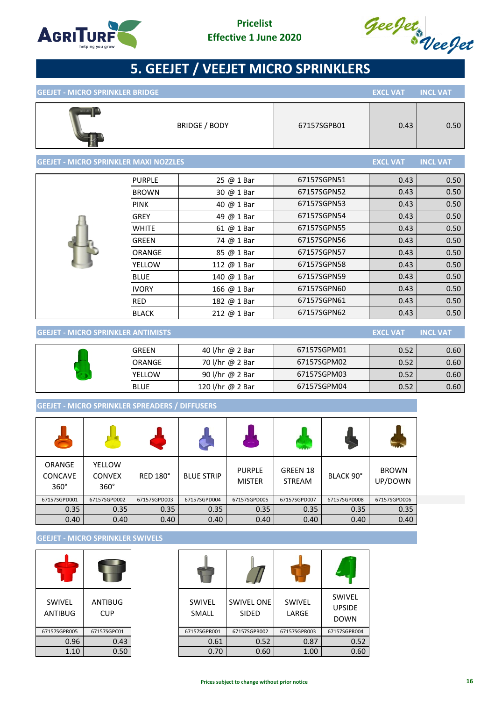



| <b>GEEJET - MICRO SPRINKLER BRIDGE</b>       |               |                      |             | <b>EXCL VAT</b> | <b>INCL VAT</b> |
|----------------------------------------------|---------------|----------------------|-------------|-----------------|-----------------|
|                                              |               | <b>BRIDGE / BODY</b> | 67157SGPB01 | 0.43            | 0.50            |
| <b>GEEJET - MICRO SPRINKLER MAXI NOZZLES</b> |               |                      |             | <b>EXCL VAT</b> | <b>INCL VAT</b> |
|                                              | <b>PURPLE</b> | 25 @ 1 Bar           | 67157SGPN51 | 0.43            | 0.50            |
|                                              | <b>BROWN</b>  | 30 @ 1 Bar           | 67157SGPN52 | 0.43            | 0.50            |
|                                              | <b>PINK</b>   | 40 @ 1 Bar           | 67157SGPN53 | 0.43            | 0.50            |
|                                              | <b>GREY</b>   | 49 @ 1 Bar           | 67157SGPN54 | 0.43            | 0.50            |
|                                              | <b>WHITE</b>  | 61 @ 1 Bar           | 67157SGPN55 | 0.43            | 0.50            |
|                                              | GREEN         | 74 @ 1 Bar           | 67157SGPN56 | 0.43            | 0.50            |
|                                              | ORANGE        | 85 @ 1 Bar           | 67157SGPN57 | 0.43            | 0.50            |
|                                              | YELLOW        | 112 @ 1 Bar          | 67157SGPN58 | 0.43            | 0.50            |
|                                              | <b>BLUE</b>   | 140 @ 1 Bar          | 67157SGPN59 | 0.43            | 0.50            |
|                                              | <b>IVORY</b>  | 166 @ 1 Bar          | 67157SGPN60 | 0.43            | 0.50            |
|                                              | <b>RED</b>    | 182 @ 1 Bar          | 67157SGPN61 | 0.43            | 0.50            |
|                                              | <b>BLACK</b>  | 212 @ 1 Bar          | 67157SGPN62 | 0.43            | 0.50            |

## **GEEJET - MICRO SPRINKLER ANTIMISTS EXCL VAT INCL VAT**

| IGREEN        | 40 l/hr @ 2 Bar  | 67157SGPM01 | 0.52 | 0.60 |
|---------------|------------------|-------------|------|------|
| <b>ORANGE</b> | 70 l/hr @ 2 Bar  | 67157SGPM02 | 0.52 | 0.60 |
| <b>YELLOW</b> | 90 l/hr @ 2 Bar  | 67157SGPM03 | 0.52 | 0.60 |
| <b>BLUE</b>   | 120 l/hr @ 2 Bar | 67157SGPM04 | 0.52 | 0.60 |

## **GEEJET - MICRO SPRINKLER SPREADERS / DIFFUSERS**

|                                         |                                        |                 |                   | $\overline{\phantom{0}}$       |                           |              |                         |
|-----------------------------------------|----------------------------------------|-----------------|-------------------|--------------------------------|---------------------------|--------------|-------------------------|
| ORANGE<br><b>CONCAVE</b><br>$360^\circ$ | YELLOW<br><b>CONVEX</b><br>$360^\circ$ | <b>RED 180°</b> | <b>BLUE STRIP</b> | <b>PURPLE</b><br><b>MISTER</b> | GREEN 18<br><b>STREAM</b> | BLACK 90°    | <b>BROWN</b><br>UP/DOWN |
| 67157SGPD001                            | 67157SGPD002                           | 67157SGPD003    | 67157SGPD004      | 67157SGPD005                   | 67157SGPD007              | 67157SGPD008 | 67157SGPD006            |
| 0.35                                    | 0.35                                   | 0.35            | 0.35              | 0.35                           | 0.35                      | 0.35         | 0.35                    |
| 0.40                                    | 0.40                                   | 0.40            | 0.40              | 0.40                           | 0.40                      | 0.40         | 0.40                    |

## **GEEJET - MICRO SPRINKLER SWIVELS**

| SWIVEL<br><b>ANTIBUG</b> | ANTIBUG<br>CUP |
|--------------------------|----------------|
| 67157SGPR005             | 67157SGPC01    |
| 0.96                     | 0.43           |
| 1.10                     | 0.50           |

| SWIVEL<br>ANTIBUG | ANTIBUG<br><b>CUP</b> | SWIVEL<br>SMALL | <b>SWIVEL ONE</b><br><b>SIDED</b> | SWIVEL<br>LARGE | SWIVEL<br><b>UPSIDE</b><br><b>DOWN</b> |
|-------------------|-----------------------|-----------------|-----------------------------------|-----------------|----------------------------------------|
| 67157SGPR005      | 67157SGPC01           | 67157SGPR001    | 67157SGPR002                      | 67157SGPR003    | 67157SGPR004                           |
| 0.96              | 0.43                  | 0.61            | 0.52                              | 0.87            | 0.52                                   |
| 1.10              | 0.50                  | 0.70            | 0.60                              | 1.00            | 0.60                                   |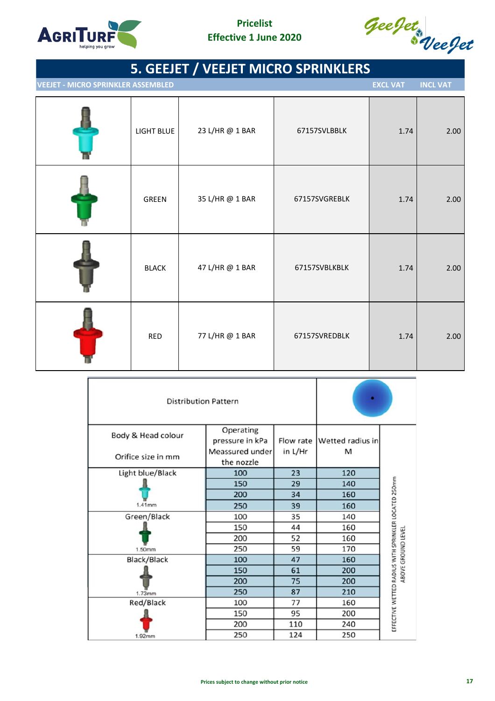



**IVEEJET - MICRO SPRINKLER ASSEMBLED EXCL VAT EXCL VAT EXCL VAT** 

| LIGHT BLUE   | 23 L/HR @ 1 BAR | 67157SVLBBLK  | 1.74 | 2.00 |
|--------------|-----------------|---------------|------|------|
| GREEN        | 35 L/HR @ 1 BAR | 67157SVGREBLK | 1.74 | 2.00 |
| <b>BLACK</b> | 47 L/HR @ 1 BAR | 67157SVBLKBLK | 1.74 | 2.00 |
| <b>RED</b>   | 77 L/HR @ 1 BAR | 67157SVREDBLK | 1.74 | 2.00 |

| <b>Distribution Pattern</b> |                 |         |                            |                                                      |
|-----------------------------|-----------------|---------|----------------------------|------------------------------------------------------|
| Body & Head colour          | Operating       |         |                            |                                                      |
|                             | pressure in kPa |         | Flow rate Wetted radius in |                                                      |
| Orifice size in mm          | Meassured under | in L/Hr | м                          |                                                      |
|                             | the nozzle      |         |                            |                                                      |
| Light blue/Black            | 100             | 23      | 120                        |                                                      |
|                             | 150             | 29      | 140                        |                                                      |
|                             | 200             | 34      | 160                        |                                                      |
| 1.41mm                      | 250             | 39      | 160                        |                                                      |
| Green/Black                 | 100             | 35      | 140                        |                                                      |
|                             | 150             | 44      | 160                        |                                                      |
|                             | 200             | 52      | 160                        | ABOVE GROUND LEVEL                                   |
| 1.50mm                      | 250             | 59      | 170                        |                                                      |
| <b>Black/Black</b>          | 100             | 47      | 160                        |                                                      |
|                             | 150             | 61      | 200                        |                                                      |
|                             | 200             | 75      | 200                        |                                                      |
| 1.73mm                      | 250             | 87      | 210                        |                                                      |
| Red/Black                   | 100             | 77      | 160                        |                                                      |
|                             | 150             | 95      | 200                        |                                                      |
|                             | 200             | 110     | 240                        | EFFECTIVE WETTED RADIUS WITH SPRINKLER LOCATED 250mm |
| 1.92mm                      | 250             | 124     | 250                        |                                                      |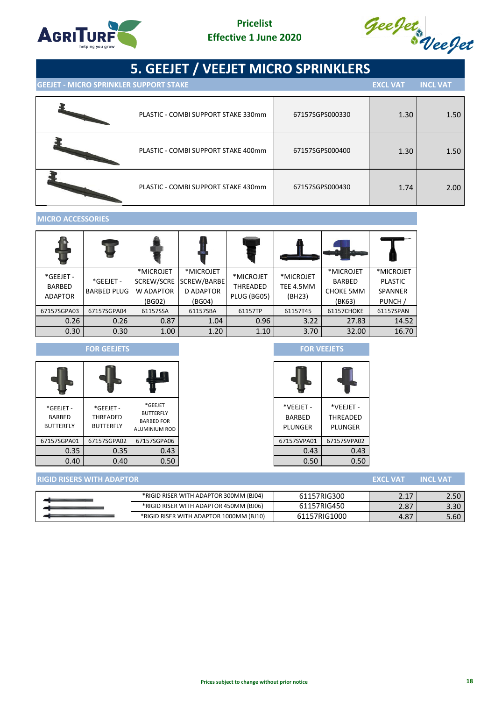



**GEEJET - MICRO SPRINKLER SUPPORT STAKE EXCL VAT INCL VAT**

| PLASTIC - COMBI SUPPORT STAKE 330mm | 67157SGPS000330 | 1.30 | 1.50 |
|-------------------------------------|-----------------|------|------|
| PLASTIC - COMBI SUPPORT STAKE 400mm | 67157SGPS000400 | 1.30 | 1.50 |
| PLASTIC - COMBI SUPPORT STAKE 430mm | 67157SGPS000430 | 1.74 | 2.00 |

## **MICRO ACCESSORIES**

| *GEEJET -<br>BARBED<br><b>ADAPTOR</b> | *GEEJET -<br><b>BARBED PLUG</b> | *MICROJET<br>SCREW/SCRE<br><b>W ADAPTOR</b><br>(BG02) | *MICROJET<br>SCREW/BARBE<br><b>D ADAPTOR</b><br>(BG04) | *MICROJET<br>THREADED<br>PLUG (BG05) | *MICROJET<br>TEE 4.5MM<br>(BH23) | *MICROJET<br>BARBED<br><b>CHOKE 5MM</b><br>(BK63) | *MICROJET<br><b>PLASTIC</b><br><b>SPANNER</b><br>PUNCH / |
|---------------------------------------|---------------------------------|-------------------------------------------------------|--------------------------------------------------------|--------------------------------------|----------------------------------|---------------------------------------------------|----------------------------------------------------------|
| 67157SGPA03                           | 67157SGPA04                     | 61157SSA                                              | 61157SBA                                               | 61157TP                              | 61157T45                         | 61157CHOKE                                        | 61157SPAN                                                |
| 0.26                                  | 0.26                            | 0.87                                                  | 1.04                                                   | 0.96                                 | 3.22                             | 27.83                                             | 14.52                                                    |
| 0.30                                  | 0.30                            | 1.00                                                  | 1.20                                                   | 1.10                                 | 3.70                             | 32.00                                             | 16.70                                                    |

### **FOR GEEJETS FOR VEEJETS**

| *GEEJET -<br><b>BARBED</b><br><b>BUTTERFLY</b> | *GEEJET -<br>THREADED<br><b>BUTTERFLY</b> | *GEEJET<br><b>BUTTERFLY</b><br><b>BARBED FOR</b><br><b>ALUMINIUM ROD</b> |
|------------------------------------------------|-------------------------------------------|--------------------------------------------------------------------------|
| 67157SGPA01                                    | 67157SGPA02                               | 67157SGPA06                                                              |
| 0.35                                           | 0.35                                      | 0.43                                                                     |
| 0.40                                           | 0.40                                      | 0.50                                                                     |

| *VEEJET -<br>BARBED | *VEEJET -<br>THREADED |  |
|---------------------|-----------------------|--|
| PLUNGER             | PLUNGER               |  |
| 67157SVPA01         | 67157SVPA02           |  |
| 0.43                | 0.43                  |  |
| 0.50                | 0.50                  |  |

| <b>RIGID RISERS WITH ADAPTOR</b> |                                         |              | <b>EXCL VATA</b> | <b>INCL VAT</b> |
|----------------------------------|-----------------------------------------|--------------|------------------|-----------------|
|                                  |                                         |              |                  |                 |
|                                  | *RIGID RISER WITH ADAPTOR 300MM (BJ04)  | 61157RIG300  |                  | 2.50            |
|                                  | *RIGID RISER WITH ADAPTOR 450MM (BJ06)  | 61157RIG450  | 2.87             | 3.30            |
|                                  | *RIGID RISER WITH ADAPTOR 1000MM (BJ10) | 61157RIG1000 | 4.87             | 5.60            |